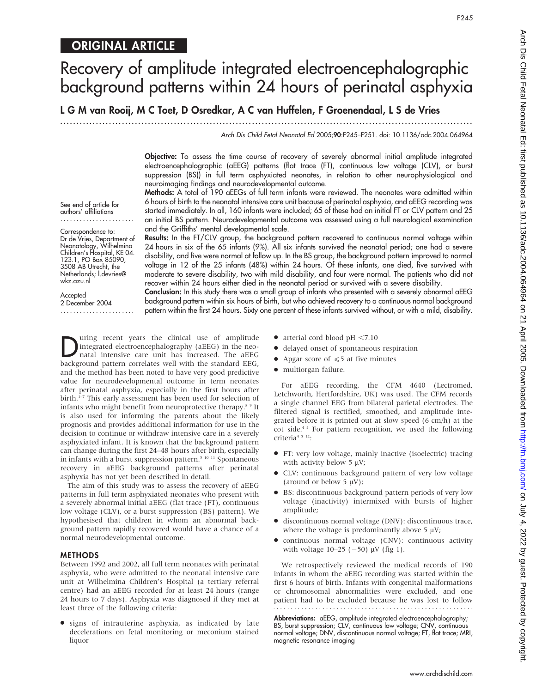# ORIGINAL ARTICLE

# Recovery of amplitude integrated electroencephalographic background patterns within 24 hours of perinatal asphyxia

L G M van Rooij, M C Toet, D Osredkar, A C van Huffelen, F Groenendaal, L S de Vries

...............................................................................................................................

Arch Dis Child Fetal Neonatal Ed 2005;90:F245–F251. doi: 10.1136/adc.2004.064964

Objective: To assess the time course of recovery of severely abnormal initial amplitude integrated electroencephalographic (aEEG) patterns (flat trace (FT), continuous low voltage (CLV), or burst suppression (BS)) in full term asphyxiated neonates, in relation to other neurophysiological and neuroimaging findings and neurodevelopmental outcome. Methods: A total of 190 aEEGs of full term infants were reviewed. The neonates were admitted within

See end of article for authors' affiliations ....................... 6 hours of birth to the neonatal intensive care unit because of perinatal asphyxia, and aEEG recording was started immediately. In all, 160 infants were included; 65 of these had an initial FT or CLV pattern and 25 an initial BS pattern. Neurodevelopmental outcome was assessed using a full neurological examination

Correspondence to: Dr de Vries, Department of Neonatology, Wilhelmina Children's Hospital, KE 04. 123.1, PO Box 85090, 3508 AB Utrecht, the Netherlands; l.devries@ wkz.azu.nl

and the Griffiths' mental developmental scale. Results: In the FT/CLV group, the background pattern recovered to continuous normal voltage within 24 hours in six of the 65 infants (9%). All six infants survived the neonatal period; one had a severe disability, and five were normal at follow up. In the BS group, the background pattern improved to normal voltage in 12 of the 25 infants (48%) within 24 hours. Of these infants, one died, five survived with moderate to severe disability, two with mild disability, and four were normal. The patients who did not recover within 24 hours either died in the neonatal period or survived with a severe disability.

Conclusion: In this study there was a small group of infants who presented with a severely abnormal aEEG background pattern within six hours of birth, but who achieved recovery to a continuous normal background pattern within the first 24 hours. Sixty one percent of these infants survived without, or with a mild, disability.

**Accepted** 2 December 2004 .......................

During recent years the clinical use of amplitude<br>integrated electroencephalography (aEEG) in the neo-<br>natal intensive care unit has increased. The aEEG<br>background pattern correlates well with the standard EEG integrated electroencephalography (aEEG) in the neobackground pattern correlates well with the standard EEG, and the method has been noted to have very good predictive value for neurodevelopmental outcome in term neonates after perinatal asphyxia, especially in the first hours after birth.<sup>1-7</sup> This early assessment has been used for selection of infants who might benefit from neuroprotective therapy.<sup>8 9</sup> It is also used for informing the parents about the likely prognosis and provides additional information for use in the decision to continue or withdraw intensive care in a severely asphyxiated infant. It is known that the background pattern can change during the first 24–48 hours after birth, especially in infants with a burst suppression pattern.<sup>5 10 11</sup> Spontaneous recovery in aEEG background patterns after perinatal asphyxia has not yet been described in detail.

The aim of this study was to assess the recovery of aEEG patterns in full term asphyxiated neonates who present with a severely abnormal initial aEEG (flat trace (FT), continuous low voltage (CLV), or a burst suppression (BS) pattern). We hypothesised that children in whom an abnormal background pattern rapidly recovered would have a chance of a normal neurodevelopmental outcome.

# METHODS

Between 1992 and 2002, all full term neonates with perinatal asphyxia, who were admitted to the neonatal intensive care unit at Wilhelmina Children's Hospital (a tertiary referral centre) had an aEEG recorded for at least 24 hours (range 24 hours to 7 days). Asphyxia was diagnosed if they met at least three of the following criteria:

• signs of intrauterine asphyxia, as indicated by late decelerations on fetal monitoring or meconium stained liquor

- $\bullet$  arterial cord blood pH <7.10
- $\bullet$  delayed onset of spontaneous respiration
- Apgar score of  $\leq 5$  at five minutes
- $\bullet$  multiorgan failure.

For aEEG recording, the CFM 4640 (Lectromed, Letchworth, Hertfordshire, UK) was used. The CFM records a single channel EEG from bilateral parietal electrodes. The filtered signal is rectified, smoothed, and amplitude integrated before it is printed out at slow speed (6 cm/h) at the cot side.<sup>45</sup> For pattern recognition, we used the following criteria<sup>4 5 12</sup>:

- N FT: very low voltage, mainly inactive (isoelectric) tracing with activity below 5  $\mu$ V;
- CLV: continuous background pattern of very low voltage (around or below  $5 \mu V$ );
- N BS: discontinuous background pattern periods of very low voltage (inactivity) intermixed with bursts of higher amplitude;
- $\bullet$  discontinuous normal voltage (DNV): discontinuous trace, where the voltage is predominantly above 5  $\mu$ V;
- continuous normal voltage (CNV): continuous activity with voltage  $10-25$  (-50)  $\mu$ V (fig 1).

We retrospectively reviewed the medical records of 190 infants in whom the aEEG recording was started within the first 6 hours of birth. Infants with congenital malformations or chromosomal abnormalities were excluded, and one patient had to be excluded because he was lost to follow

Abbreviations: aEEG, amplitude integrated electroencephalography; BS, burst suppression; CLV, continuous low voltage; CNV, continuous normal voltage; DNV, discontinuous normal voltage; FT, flat trace; MRI, magnetic resonance imaging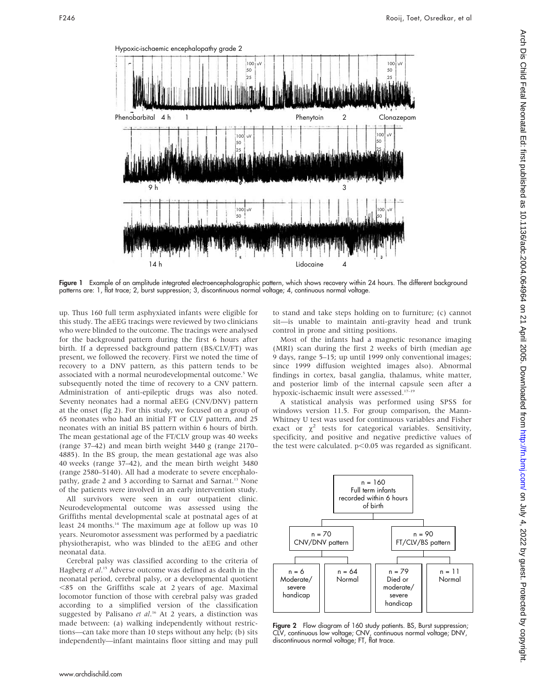

Figure 1 Example of an amplitude integrated electroencephalographic pattern, which shows recovery within 24 hours. The different background patterns are: 1, flat trace; 2, burst suppression; 3, discontinuous normal voltage; 4, continuous normal voltage.

up. Thus 160 full term asphyxiated infants were eligible for this study. The aEEG tracings were reviewed by two clinicians who were blinded to the outcome. The tracings were analysed for the background pattern during the first 6 hours after birth. If a depressed background pattern (BS/CLV/FT) was present, we followed the recovery. First we noted the time of recovery to a DNV pattern, as this pattern tends to be associated with a normal neurodevelopmental outcome.<sup>5</sup> We subsequently noted the time of recovery to a CNV pattern. Administration of anti-epileptic drugs was also noted. Seventy neonates had a normal aEEG (CNV/DNV) pattern at the onset (fig 2). For this study, we focused on a group of 65 neonates who had an initial FT or CLV pattern, and 25 neonates with an initial BS pattern within 6 hours of birth. The mean gestational age of the FT/CLV group was 40 weeks (range 37–42) and mean birth weight 3440 g (range 2170– 4885). In the BS group, the mean gestational age was also 40 weeks (range 37–42), and the mean birth weight 3480 (range 2580–5140). All had a moderate to severe encephalopathy, grade 2 and 3 according to Sarnat and Sarnat.<sup>13</sup> None of the patients were involved in an early intervention study.

All survivors were seen in our outpatient clinic. Neurodevelopmental outcome was assessed using the Griffiths mental developmental scale at postnatal ages of at least 24 months. $14$  The maximum age at follow up was 10 years. Neuromotor assessment was performed by a paediatric physiotherapist, who was blinded to the aEEG and other neonatal data.

Cerebral palsy was classified according to the criteria of Hagberg et al.<sup>15</sup> Adverse outcome was defined as death in the neonatal period, cerebral palsy, or a developmental quotient ,85 on the Griffiths scale at 2 years of age. Maximal locomotor function of those with cerebral palsy was graded according to a simplified version of the classification suggested by Palisano et al.<sup>16</sup> At 2 years, a distinction was made between: (a) walking independently without restrictions—can take more than 10 steps without any help; (b) sits independently—infant maintains floor sitting and may pull to stand and take steps holding on to furniture; (c) cannot sit—is unable to maintain anti-gravity head and trunk control in prone and sitting positions.

Most of the infants had a magnetic resonance imaging (MRI) scan during the first 2 weeks of birth (median age 9 days, range 5–15; up until 1999 only conventional images; since 1999 diffusion weighted images also). Abnormal findings in cortex, basal ganglia, thalamus, white matter, and posterior limb of the internal capsule seen after a hypoxic-ischaemic insult were assessed.17–19

A statistical analysis was performed using SPSS for windows version 11.5. For group comparison, the Mann-Whitney U test was used for continuous variables and Fisher exact or  $\chi^2$  tests for categorical variables. Sensitivity, specificity, and positive and negative predictive values of the test were calculated.  $p<0.05$  was regarded as significant.



Figure 2 Flow diagram of 160 study patients. BS, Burst suppression; CLV, continuous low voltage; CNV, continuous normal voltage; DNV, discontinuous normal voltage; FT, flat trace.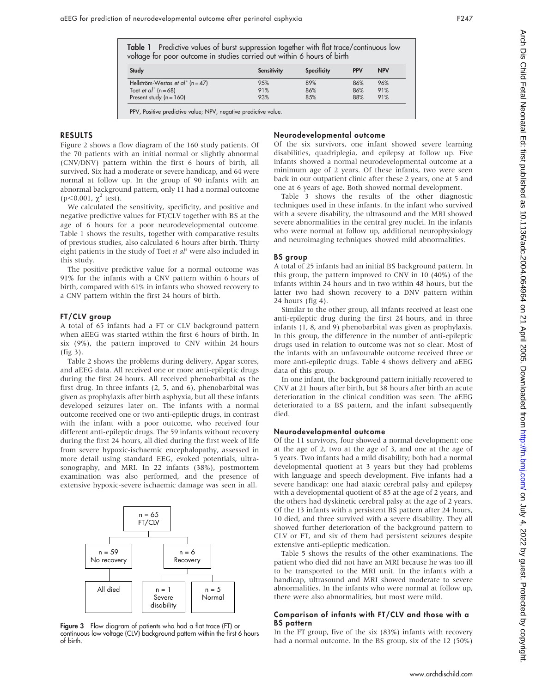Table 1 Predictive values of burst suppression together with flat trace/continuous low voltage for poor outcome in studies carried out within 6 hours of birth

| <b>Sensitivity</b> | <b>Specificity</b> | <b>PPV</b> | <b>NPV</b> |
|--------------------|--------------------|------------|------------|
| 95%                | 89%                | 86%        | 96%        |
| 91%                | 86%                | 86%        | 91%        |
| 93%                | 85%                | 88%        | 91%        |
|                    |                    |            |            |

PPV, Positive predictive value; NPV, negative predictive va

#### RESULTS

Figure 2 shows a flow diagram of the 160 study patients. Of the 70 patients with an initial normal or slightly abnormal (CNV/DNV) pattern within the first 6 hours of birth, all survived. Six had a moderate or severe handicap, and 64 were normal at follow up. In the group of 90 infants with an abnormal background pattern, only 11 had a normal outcome (p<0.001,  $\chi^2$  test).

We calculated the sensitivity, specificity, and positive and negative predictive values for FT/CLV together with BS at the age of 6 hours for a poor neurodevelopmental outcome. Table 1 shows the results, together with comparative results of previous studies, also calculated 6 hours after birth. Thirty eight patients in the study of Toet et  $a<sup>j</sup>$  were also included in this study.

The positive predictive value for a normal outcome was 91% for the infants with a CNV pattern within 6 hours of birth, compared with 61% in infants who showed recovery to a CNV pattern within the first 24 hours of birth.

#### FT/CLV group

A total of 65 infants had a FT or CLV background pattern when aEEG was started within the first 6 hours of birth. In six (9%), the pattern improved to CNV within 24 hours (fig 3).

Table 2 shows the problems during delivery, Apgar scores, and aEEG data. All received one or more anti-epileptic drugs during the first 24 hours. All received phenobarbital as the first drug. In three infants (2, 5, and 6), phenobarbital was given as prophylaxis after birth asphyxia, but all these infants developed seizures later on. The infants with a normal outcome received one or two anti-epileptic drugs, in contrast with the infant with a poor outcome, who received four different anti-epileptic drugs. The 59 infants without recovery during the first 24 hours, all died during the first week of life from severe hypoxic-ischaemic encephalopathy, assessed in more detail using standard EEG, evoked potentials, ultrasonography, and MRI. In 22 infants (38%), postmortem examination was also performed, and the presence of extensive hypoxic-severe ischaemic damage was seen in all.



Figure 3 Flow diagram of patients who had a flat trace (FT) or continuous low voltage (CLV) background pattern within the first 6 hours of birth.

#### Neurodevelopmental outcome

Of the six survivors, one infant showed severe learning disabilities, quadriplegia, and epilepsy at follow up. Five infants showed a normal neurodevelopmental outcome at a minimum age of 2 years. Of these infants, two were seen back in our outpatient clinic after these 2 years, one at 5 and one at 6 years of age. Both showed normal development.

Table 3 shows the results of the other diagnostic techniques used in these infants. In the infant who survived with a severe disability, the ultrasound and the MRI showed severe abnormalities in the central grey nuclei. In the infants who were normal at follow up, additional neurophysiology and neuroimaging techniques showed mild abnormalities.

#### BS group

A total of 25 infants had an initial BS background pattern. In this group, the pattern improved to CNV in 10 (40%) of the infants within 24 hours and in two within 48 hours, but the latter two had shown recovery to a DNV pattern within 24 hours (fig 4).

Similar to the other group, all infants received at least one anti-epileptic drug during the first 24 hours, and in three infants (1, 8, and 9) phenobarbital was given as prophylaxis. In this group, the difference in the number of anti-epileptic drugs used in relation to outcome was not so clear. Most of the infants with an unfavourable outcome received three or more anti-epileptic drugs. Table 4 shows delivery and aEEG data of this group.

In one infant, the background pattern initially recovered to CNV at 21 hours after birth, but 38 hours after birth an acute deterioration in the clinical condition was seen. The aEEG deteriorated to a BS pattern, and the infant subsequently died.

#### Neurodevelopmental outcome

Of the 11 survivors, four showed a normal development: one at the age of 2, two at the age of 3, and one at the age of 5 years. Two infants had a mild disability; both had a normal developmental quotient at 3 years but they had problems with language and speech development. Five infants had a severe handicap: one had ataxic cerebral palsy and epilepsy with a developmental quotient of 85 at the age of 2 years, and the others had dyskinetic cerebral palsy at the age of 2 years. Of the 13 infants with a persistent BS pattern after 24 hours, 10 died, and three survived with a severe disability. They all showed further deterioration of the background pattern to CLV or FT, and six of them had persistent seizures despite extensive anti-epileptic medication.

Table 5 shows the results of the other examinations. The patient who died did not have an MRI because he was too ill to be transported to the MRI unit. In the infants with a handicap, ultrasound and MRI showed moderate to severe abnormalities. In the infants who were normal at follow up, there were also abnormalities, but most were mild.

# Comparison of infants with FT/CLV and those with a BS pattern

In the FT group, five of the six (83%) infants with recovery had a normal outcome. In the BS group, six of the 12 (50%)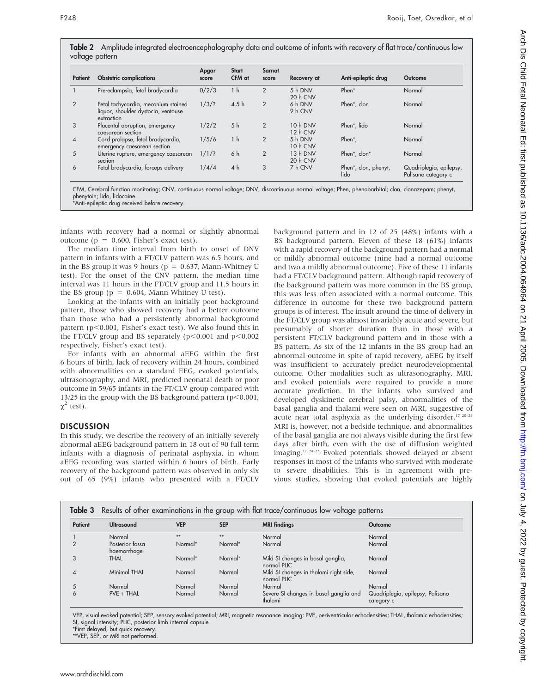Table 2 Amplitude integrated electroencephalography data and outcome of infants with recovery of flat trace/continuous low voltage pattern

| <b>Patient</b> | <b>Obstetric complications</b>                                                           | Apgar<br>score | Start<br>CFM at  | Sarnat<br>score | Recovery at          | Anti-epileptic drug                       | Outcome                                        |
|----------------|------------------------------------------------------------------------------------------|----------------|------------------|-----------------|----------------------|-------------------------------------------|------------------------------------------------|
|                | Pre-eclampsia, fetal bradycardia                                                         | 0/2/3          | 1 <sub>h</sub>   |                 | 5 h DNV<br>20 h CNV  | Phen*                                     | Normal                                         |
| $\overline{2}$ | Fetal tachycardia, meconium stained<br>liquor, shoulder dystocia, ventouse<br>extraction | 1/3/?          | 4.5 <sub>h</sub> | $\overline{2}$  | 6 h DNV<br>9 h CNV   | Phen*, clon                               | Normal                                         |
| 3              | Placental abruption, emergency<br>caesarean section                                      | 1/2/2          | 5 <sub>h</sub>   | 2               | 10 h DNV<br>12 h CNV | Phen*, lido                               | Normal                                         |
| 4              | Cord prolapse, fetal bradycardia,<br>emergency caesarean section                         | 1/5/6          | 1 <sub>h</sub>   | $\overline{2}$  | 5 h DNV<br>10 h CNV  | Phen*.                                    | Normal                                         |
| 5              | Uterine rupture, emergency caesarean<br>section                                          | 1/1/2          | 6 h              | $\overline{2}$  | 13 h DNV<br>20 h CNV | Phen*, clon*                              | Normal                                         |
| 6              | Fetal bradycardia, forceps delivery                                                      | 1/4/4          | 4 h              | 3               | 7 h CNV              | Phen <sup>*</sup> , clon, phenyt,<br>lido | Quadriplegia, epilepsy,<br>Palisano category c |

CFM, Cerebral function monitoring; CNV, continuous normal voltage; DNV, discontinuous normal voltage; Phen, phenobarbital; clon, clonazepam; phenyt, phenytoin; lido, lidocaine.

\*Anti-epileptic drug received before recovery.

infants with recovery had a normal or slightly abnormal outcome ( $p = 0.600$ , Fisher's exact test).

The median time interval from birth to onset of DNV pattern in infants with a FT/CLV pattern was 6.5 hours, and in the BS group it was 9 hours ( $p = 0.637$ , Mann-Whitney U test). For the onset of the CNV pattern, the median time interval was 11 hours in the FT/CLV group and 11.5 hours in the BS group ( $p = 0.604$ , Mann Whitney U test).

Looking at the infants with an initially poor background pattern, those who showed recovery had a better outcome than those who had a persistently abnormal background pattern ( $p<0.001$ , Fisher's exact test). We also found this in the FT/CLV group and BS separately ( $p$ <0.001 and  $p$ <0.002 respectively, Fisher's exact test).

For infants with an abnormal aEEG within the first 6 hours of birth, lack of recovery within 24 hours, combined with abnormalities on a standard EEG, evoked potentials, ultrasonography, and MRI, predicted neonatal death or poor outcome in 59/65 infants in the FT/CLV group compared with 13/25 in the group with the BS background pattern ( $p$ <0.001,  $\chi^2$  test).

# **DISCUSSION**

In this study, we describe the recovery of an initially severely abnormal aEEG background pattern in 18 out of 90 full term infants with a diagnosis of perinatal asphyxia, in whom aEEG recording was started within 6 hours of birth. Early recovery of the background pattern was observed in only six out of 65 (9%) infants who presented with a FT/CLV

background pattern and in 12 of 25 (48%) infants with a BS background pattern. Eleven of these 18 (61%) infants with a rapid recovery of the background pattern had a normal or mildly abnormal outcome (nine had a normal outcome and two a mildly abnormal outcome). Five of these 11 infants had a FT/CLV background pattern. Although rapid recovery of the background pattern was more common in the BS group, this was less often associated with a normal outcome. This difference in outcome for these two background pattern groups is of interest. The insult around the time of delivery in the FT/CLV group was almost invariably acute and severe, but presumably of shorter duration than in those with a persistent FT/CLV background pattern and in those with a BS pattern. As six of the 12 infants in the BS group had an abnormal outcome in spite of rapid recovery, aEEG by itself was insufficient to accurately predict neurodevelopmental outcome. Other modalities such as ultrasonography, MRI, and evoked potentials were required to provide a more accurate prediction. In the infants who survived and developed dyskinetic cerebral palsy, abnormalities of the basal ganglia and thalami were seen on MRI, suggestive of acute near total asphyxia as the underlying disorder.<sup>17 20-23</sup> MRI is, however, not a bedside technique, and abnormalities of the basal ganglia are not always visible during the first few days after birth, even with the use of diffusion weighted imaging.<sup>22 24 25</sup> Evoked potentials showed delayed or absent responses in most of the infants who survived with moderate to severe disabilities. This is in agreement with previous studies, showing that evoked potentials are highly

| Patient | Ultrasound                     | <b>VEP</b>   | <b>SEP</b> | <b>MRI</b> findings                                   | Outcome                                        |
|---------|--------------------------------|--------------|------------|-------------------------------------------------------|------------------------------------------------|
|         | Normal                         | $\star\star$ | $**$       | Normal                                                | Normal                                         |
|         | Posterior fossa<br>haemorrhage | Normal*      | Normal*    | Normal                                                | Normal                                         |
|         | <b>THAL</b>                    | Normal*      | Normal*    | Mild SI changes in basal ganglia,<br>normal PLIC      | Normal                                         |
|         | Minimal THAL                   | Normal       | Normal     | Mild SI changes in thalami right side,<br>normal PLIC | Normal                                         |
|         | Normal                         | Normal       | Normal     | Normal                                                | Normal                                         |
| $\circ$ | $PVE + THAL$                   | Normal       | Normal     | Severe SI changes in basal ganglia and<br>thalami     | Quadriplegia, epilepsy, Palisano<br>category c |

VEP, visual evoked potential; SEP, sensory evoked potential; MRI, magnetic resonance imaging; PVE, periventricular echodensities; THAL, thalamic echodensities; SI, signal intensity; PLIC, posterior limb internal capsule

\*First delayed, but quick recovery.

\*\*VEP, SEP, or MRI not performed.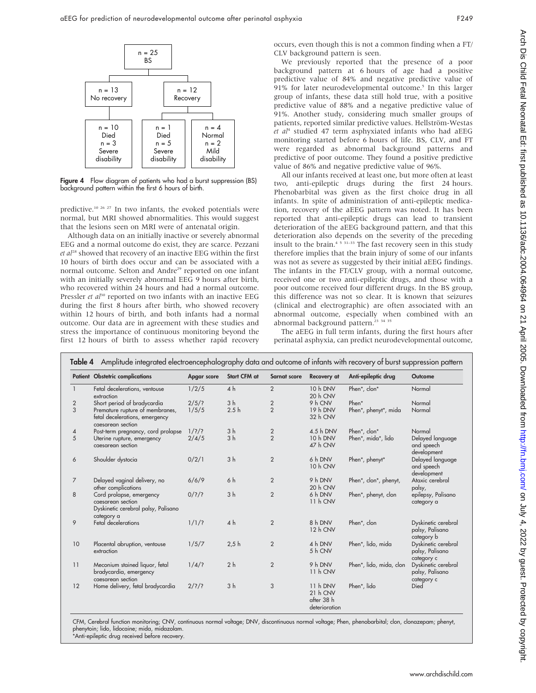

Figure 4 Flow diagram of patients who had a burst suppression (BS) background pattern within the first 6 hours of birth.

predictive.10 26 27 In two infants, the evoked potentials were normal, but MRI showed abnormalities. This would suggest that the lesions seen on MRI were of antenatal origin.

Although data on an initially inactive or severely abnormal EEG and a normal outcome do exist, they are scarce. Pezzani  $et a<sup>28</sup>$  showed that recovery of an inactive EEG within the first 10 hours of birth does occur and can be associated with a normal outcome. Selton and Andre<sup>29</sup> reported on one infant with an initially severely abnormal EEG 9 hours after birth, who recovered within 24 hours and had a normal outcome. Pressler et  $a^{130}$  reported on two infants with an inactive EEG during the first 8 hours after birth, who showed recovery within 12 hours of birth, and both infants had a normal outcome. Our data are in agreement with these studies and stress the importance of continuous monitoring beyond the first 12 hours of birth to assess whether rapid recovery

occurs, even though this is not a common finding when a FT/ CLV background pattern is seen.

We previously reported that the presence of a poor background pattern at 6 hours of age had a positive predictive value of 84% and negative predictive value of 91% for later neurodevelopmental outcome.<sup>5</sup> In this larger group of infants, these data still hold true, with a positive predictive value of 88% and a negative predictive value of 91%. Another study, considering much smaller groups of patients, reported similar predictive values. Hellström-Westas et  $al<sup>4</sup>$  studied 47 term asphyxiated infants who had aEEG monitoring started before 6 hours of life. BS, CLV, and FT were regarded as abnormal background patterns and predictive of poor outcome. They found a positive predictive value of 86% and negative predictive value of 96%.

All our infants received at least one, but more often at least two, anti-epileptic drugs during the first 24 hours. Phenobarbital was given as the first choice drug in all infants. In spite of administration of anti-epileptic medication, recovery of the aEEG pattern was noted. It has been reported that anti-epileptic drugs can lead to transient deterioration of the aEEG background pattern, and that this deterioration also depends on the severity of the preceding insult to the brain. $4 \frac{5}{31-33}$  The fast recovery seen in this study therefore implies that the brain injury of some of our infants was not as severe as suggested by their initial aEEG findings. The infants in the FT/CLV group, with a normal outcome, received one or two anti-epileptic drugs, and those with a poor outcome received four different drugs. In the BS group, this difference was not so clear. It is known that seizures (clinical and electrographic) are often associated with an abnormal outcome, especially when combined with an abnormal background pattern.<sup>23</sup> <sup>34</sup> <sup>35</sup>

The aEEG in full term infants, during the first hours after perinatal asphyxia, can predict neurodevelopmental outcome,

|                | <b>Patient Obstetric complications</b>                                                             | Apgar score | Start CFM at     | Sarnat score   | Recovery at                                           | Anti-epileptic drug     | Outcome                                              |
|----------------|----------------------------------------------------------------------------------------------------|-------------|------------------|----------------|-------------------------------------------------------|-------------------------|------------------------------------------------------|
| $\mathbf{1}$   | Fetal decelerations, ventouse<br>extraction                                                        | 1/2/5       | 4 <sub>h</sub>   | 2              | 10 h DNV<br>20 h CNV                                  | Phen*, clon*            | Normal                                               |
| $\overline{2}$ | Short period of bradycardia                                                                        | 2/5/?       | 3 <sub>h</sub>   | $\overline{2}$ | 9 h CNV                                               | Phen*                   | Normal                                               |
| 3              | Premature rupture of membranes,<br>fetal decelerations, emergency<br>caesarean section             | 1/5/5       | 2.5 <sub>h</sub> | $\overline{2}$ | 19 h DNV<br>32 h CNV                                  | Phen*, phenyt*, mida    | Normal                                               |
| 4              | Post-term pregnancy, cord prolapse                                                                 | 1/2/2       | 3 <sub>h</sub>   | $\overline{2}$ | 4.5 h DNV                                             | Phen*, clon*            | Normal                                               |
| 5              | Uterine rupture, emergency<br>caesarean section                                                    | 2/4/5       | 3 <sub>h</sub>   | $\overline{2}$ | 10 h DNV<br>47 h CNV                                  | Phen*, mida*, lido      | Delayed language<br>and speech<br>development        |
| 6              | Shoulder dystocia                                                                                  | 0/2/1       | 3 <sub>h</sub>   | 2              | 6 h DNV<br>10 h CNV                                   | Phen*, phenyt*          | Delayed language<br>and speech<br>development        |
| $\overline{7}$ | Delayed vaginal delivery, no<br>other complications                                                | 6/6/9       | 6 <sub>h</sub>   | 2              | 9 h DNV<br>20 h CNV                                   | Phen*, clon*, phenyt,   | Ataxic cerebral<br>palsy,                            |
| 8              | Cord prolapse, emergency<br>caesarean section<br>Dyskinetic cerebral palsy, Palisano<br>category a | $0/?$ /?    | 3 <sub>h</sub>   | $\overline{2}$ | 6 h DNV<br>11 h CNV                                   | Phen*, phenyt, clon     | epilepsy, Palisano<br>category a                     |
| 9              | Fetal decelerations                                                                                | 1/1/2       | 4 <sub>h</sub>   | 2              | 8 h DNV<br>12 h CNV                                   | Phen*, clon             | Dyskinetic cerebral<br>palsy, Palisano<br>category b |
| 10             | Placental abruption, ventouse<br>extraction                                                        | 1/5/7       | 2,5 h            | 2              | 4 h DNV<br>5 h CNV                                    | Phen*, lido, mida       | Dyskinetic cerebral<br>palsy, Palisano<br>category c |
| 11             | Meconium stained liquor, fetal<br>bradycardia, emergency<br>caesarean section                      | 1/4/?       | 2 <sub>h</sub>   | 2              | 9 h DNV<br>$11 h$ CNV                                 | Phen*, lido, mida, clon | Dyskinetic cerebral<br>palsy, Palisano<br>category c |
| 12             | Home delivery, fetal bradycardia                                                                   | 2/?         | 3 <sub>h</sub>   | 3              | $11 h$ DNV<br>21 h CNV<br>after 38 h<br>deterioration | Phen*, lido             | Died                                                 |

CFM, Cerebral function monitoring; CNV, continuous normal voltage; DNV, discontinuous normal voltage; Phen, phenobarbital; clon, clonazepam; phenyt, phenytoin; lido, lidocaine; mida, midazolam.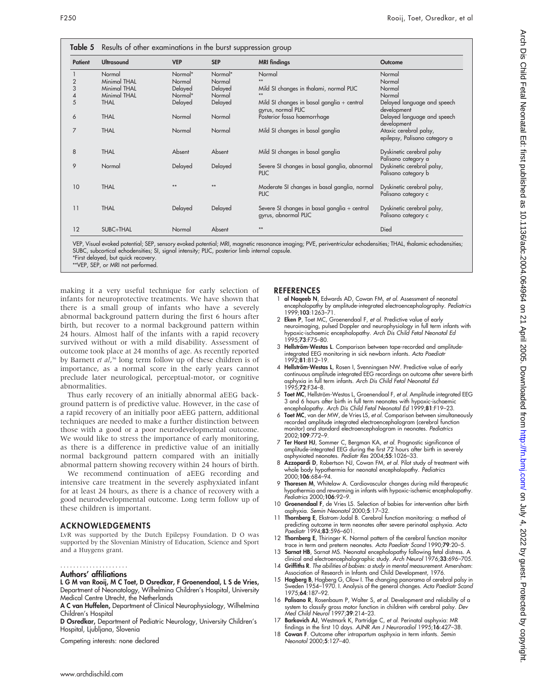| <b>Patient</b> | <b>Ultrasound</b> | <b>VEP</b> | <b>SEP</b> | <b>MRI</b> findings                                                  | Outcome                                                 |
|----------------|-------------------|------------|------------|----------------------------------------------------------------------|---------------------------------------------------------|
|                | Normal            | Normal*    | Normal*    | Normal                                                               | Normal                                                  |
| $\overline{2}$ | Minimal THAL      | Normal     | Normal     | $**$                                                                 | Normal                                                  |
| 3              | Minimal THAL      | Delayed    | Delayed    | Mild SI changes in thalami, normal PLIC                              | Normal                                                  |
| 4              | Minimal THAL      | Normal*    | Normal     |                                                                      | Normal                                                  |
| 5              | <b>THAL</b>       | Delayed    | Delayed    | Mild SI changes in basal ganglia + central<br>gyrus, normal PLIC     | Delayed language and speech<br>development              |
| 6              | <b>THAL</b>       | Normal     | Normal     | Posterior fossa haemorrhage                                          | Delayed language and speech<br>development              |
| 7              | <b>THAL</b>       | Normal     | Normal     | Mild SI changes in basal ganglia                                     | Ataxic cerebral palsy,<br>epilepsy, Palisano category a |
| 8              | <b>THAL</b>       | Absent     | Absent     | Mild SI changes in basal ganglia                                     | Dyskinetic cerebral palsy<br>Palisano category a        |
| 9              | Normal            | Delayed    | Delayed    | Severe SI changes in basal ganglia, abnormal<br><b>PLIC</b>          | Dyskinetic cerebral palsy,<br>Palisano category b       |
| 10             | <b>THAL</b>       | $**$       | $**$       | Moderate SI changes in basal ganglia, normal<br><b>PLIC</b>          | Dyskinetic cerebral palsy,<br>Palisano category c       |
| 11             | <b>THAL</b>       | Delayed    | Delayed    | Severe SI changes in basal ganglia + central<br>gyrus, abnormal PLIC | Dyskinetic cerebral palsy,<br>Palisano category c       |
| 12             | SUBC+THAL         | Normal     | Absent     | $***$                                                                | Died                                                    |

VEP, Visual evoked potential; SEP, sensory evoked potential; MRI, magnetic resonance imaging; PVE, periventricular echodensities; THAL, thalamic echodensities; SUBC, subcortical echodensities; SI, signal intensity; PLIC, posterior limb internal capsule.

\*First delayed, but quick recovery. \*\*VEP, SEP, or MRI not performed.

making it a very useful technique for early selection of infants for neuroprotective treatments. We have shown that there is a small group of infants who have a severely abnormal background pattern during the first 6 hours after birth, but recover to a normal background pattern within 24 hours. Almost half of the infants with a rapid recovery survived without or with a mild disability. Assessment of outcome took place at 24 months of age. As recently reported by Barnett et al,<sup>36</sup> long term follow up of these children is of importance, as a normal score in the early years cannot preclude later neurological, perceptual-motor, or cognitive abnormalities.

Thus early recovery of an initially abnormal aEEG background pattern is of predictive value. However, in the case of a rapid recovery of an initially poor aEEG pattern, additional techniques are needed to make a further distinction between those with a good or a poor neurodevelopmental outcome. We would like to stress the importance of early monitoring, as there is a difference in predictive value of an initially normal background pattern compared with an initially abnormal pattern showing recovery within 24 hours of birth.

We recommend continuation of aEEG recording and intensive care treatment in the severely asphyxiated infant for at least 24 hours, as there is a chance of recovery with a good neurodevelopmental outcome. Long term follow up of these children is important.

#### ACKNOWLEDGEMENTS

LvR was supported by the Dutch Epilepsy Foundation. D O was supported by the Slovenian Ministry of Education, Science and Sport and a Huygens grant.

# .....................

# Authors' affiliations

- L G M van Rooij, M C Toet, D Osredkar, F Groenendaal, L S de Vries, Department of Neonatology, Wilhelmina Children's Hospital, University Medical Centre Utrecht, the Netherlands
- A C van Huffelen, Department of Clinical Neurophysiology, Wilhelmina Children's Hospital

D Osredkar, Department of Pediatric Neurology, University Children's Hospital, Ljubljana, Slovenia

Competing interests: none declared

#### REFERENCES

- 1 al Naqeeb N, Edwards AD, Cowan FM, et al. Assessment of neonatal encephalopathy by amplitude-integrated electroencephalography. Pediatrics 1999;103:1263–71.
- 2 Eken P, Toet MC, Groenendaal F, et al. Predictive value of early neuroimaging, pulsed Doppler and neurophysiology in full term infants with<br>hypoxic-ischaemic encephalopathy. Ar*ch Dis Child Fetal Neonatal Ed* 1995;73:F75–80.
- 3 Hellström-Westas L. Comparison between tape-recorded and amplitude-<br>integrated EEG monitoring in sick newborn infants. A*cta Paediatr* 1992;81:812–19.
- 4 Hellström-Westas L, Rosen I, Svenningsen NW. Predictive value of early continuous amplitude integrated EEG recordings on outcome after severe birth asphyxia in full term infants. Arch Dis Child Fetal Neonatal Ed 1995;72:F34–8.
- 5 Toet MC, Hellström-Westas L, Groenendaal F, et al. Amplitude integrated EEG 3 and 6 hours after birth in full term neonates with hypoxic-ischaemic encephalopathy. Arch Dis Child Fetal Neonatal Ed 1999;81:F19–23.
- 6 Toet MC, van der MW, de Vries LS, et al. Comparison between simultaneously recorded amplitude integrated electroencephalogram (cerebral function monitor) and standard electroencephalogram in neonates. Pediatrics 2002;109:772–9.
- 7 Ter Horst HJ, Sommer C, Bergman KA, et al. Prognostic significance of amplitude-integrated EEG during the first 72 hours alter birth in severely<br>asphyxiated neonates. *Pediatr Res* 2004;**55**:1026–33.
- 8 Azzopardi D, Robertson NJ, Cowan FM, et al. Pilot study of treatment with whole body hypothermia for neonatal encephalopathy. Pediatrics 2000;106:684–94.
- 9 Thoresen M, Whitelaw A. Cardiovascular changes during mild therapeutic hypothermia and rewarming in infants with hypoxic-ischemic encephalopathy. Pediatrics 2000;106:92–9.
- 10 Groenendaal F, de Vries LS. Selection of babies for intervention after birth asphyxia. Semin Neonatol 2000;5:17–32.
- 11 Thornberg E, Ekstrom-Jodal B. Cerebral function monitoring: a method of predicting outcome in term neonates alter severe perinatal asphyxia. Acta<br>*Paediatr* 1994;**83**:596–601.
- 12 Thornberg E, Thiringer K. Normal pattern of the cerebral function monitor trace in term and preterm neonates. Acta Paediatr Scand 1990;79:20–5.
- Sarnat HB, Sarnat MS. Neonatal encephalopathy following fetal distress. A clinical and electroencephalographic study. Arch Neurol 1976;33:696-705. 14 Griffiths R. The abilities of babies: a study in mental measurement. Amersham:
- Association of Research in Infants and Child Development, 1976. 15 Hagberg B, Hagberg G, Olow I. The changing panorama of cerebral palsy in
- Sweden 1954–1970. I. Analysis of the general changes. Acta Paediatr Scand 1975;64:187–92.
- 16 Palisano R, Rosenbaum P, Walter S, et al. Development and reliability of a system to classify gross motor function in children with cerebral palsy. Dev Med Child Neurol 1997;39:214–23.
- 17 Barkovich AJ, Westmark K, Partridge C, et al. Perinatal asphyxia: MR findings in the first 10 days. AJNR Am J Neuroradiol 1995;16:427–38.
- 18 Cowan F. Outcome after intrapartum asphyxia in term infants. Semin Neonatol 2000;5:127–40.